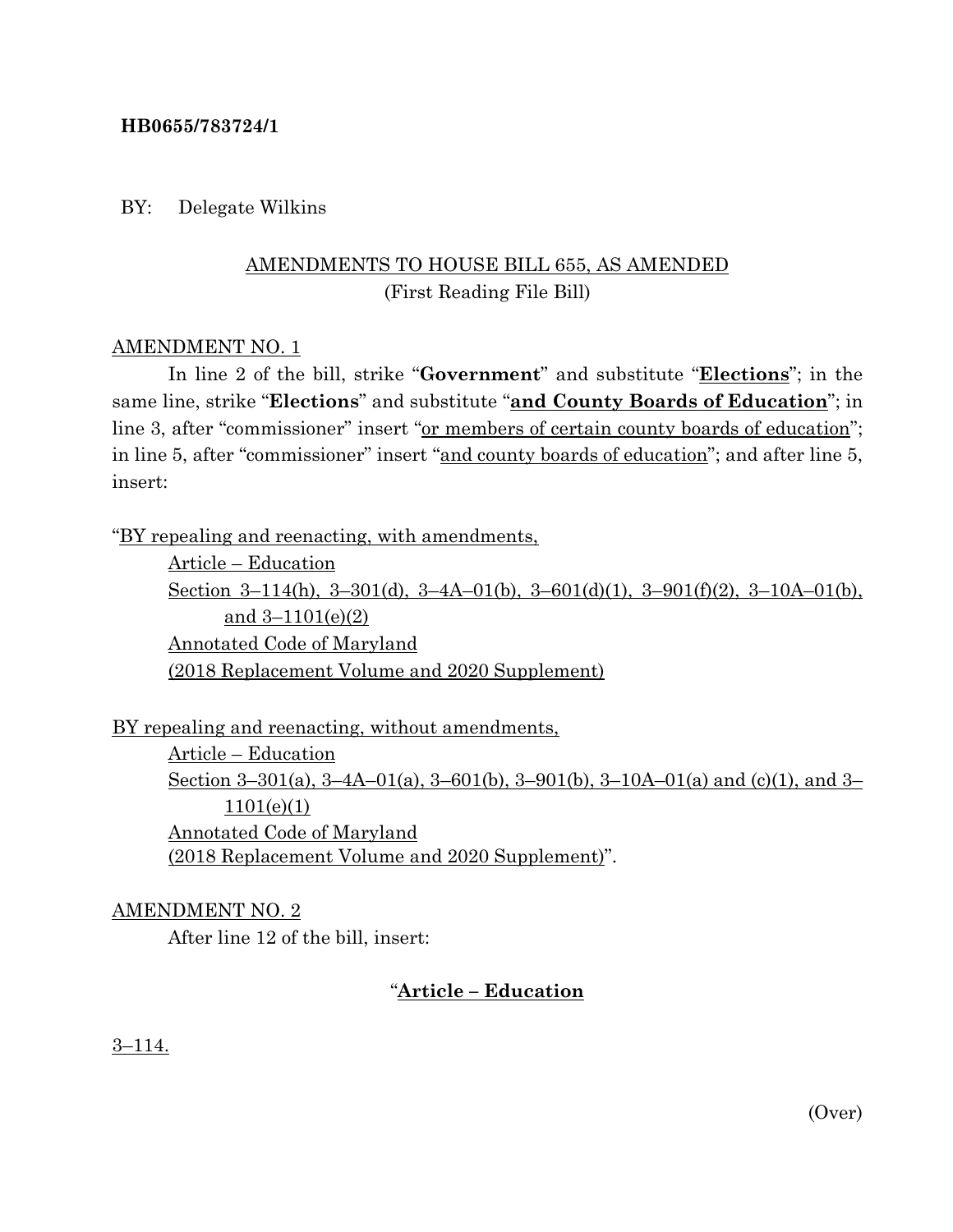### **HB0655/783724/1**

## BY: Delegate Wilkins

# AMENDMENTS TO HOUSE BILL 655, AS AMENDED (First Reading File Bill)

## AMENDMENT NO. 1

In line 2 of the bill, strike "**Government**" and substitute "**Elections**"; in the same line, strike "**Elections**" and substitute "**and County Boards of Education**"; in line 3, after "commissioner" insert "or members of certain county boards of education"; in line 5, after "commissioner" insert "and county boards of education"; and after line 5, insert:

"BY repealing and reenacting, with amendments,

Article – Education Section 3-114(h), 3-301(d), 3-4A-01(b), 3-601(d)(1), 3-901(f)(2), 3-10A-01(b), and 3–1101(e)(2) Annotated Code of Maryland (2018 Replacement Volume and 2020 Supplement)

BY repealing and reenacting, without amendments, Article – Education Section 3–301(a), 3–4A–01(a), 3–601(b), 3–901(b), 3–10A–01(a) and (c)(1), and 3– 1101(e)(1) Annotated Code of Maryland (2018 Replacement Volume and 2020 Supplement)".

### AMENDMENT NO. 2

After line 12 of the bill, insert:

# "**Article – Education**

3–114.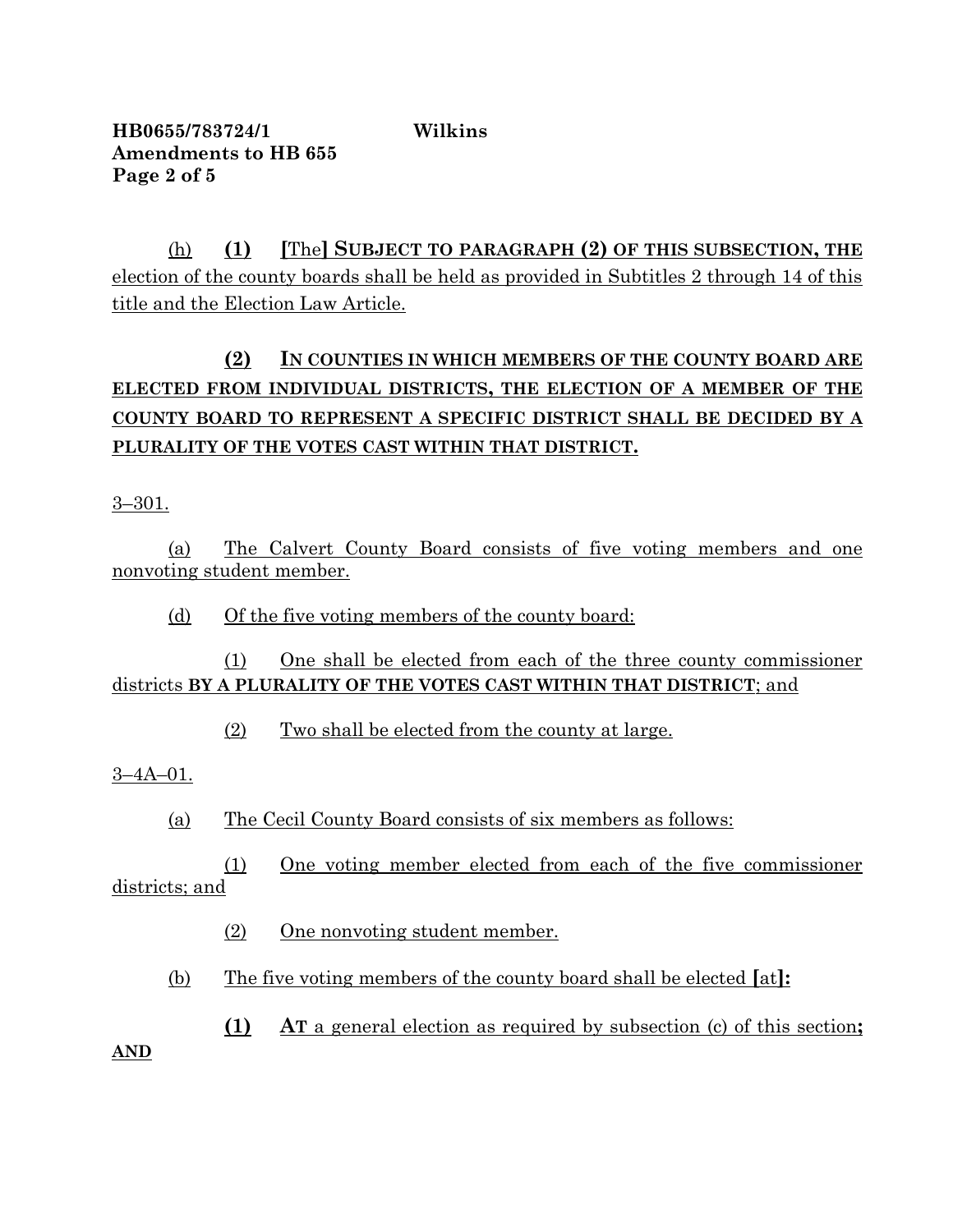**HB0655/783724/1 Wilkins Amendments to HB 655 Page 2 of 5**

(h) **(1) [**The**] SUBJECT TO PARAGRAPH (2) OF THIS SUBSECTION, THE** election of the county boards shall be held as provided in Subtitles 2 through 14 of this title and the Election Law Article.

# **(2) IN COUNTIES IN WHICH MEMBERS OF THE COUNTY BOARD ARE ELECTED FROM INDIVIDUAL DISTRICTS, THE ELECTION OF A MEMBER OF THE COUNTY BOARD TO REPRESENT A SPECIFIC DISTRICT SHALL BE DECIDED BY A PLURALITY OF THE VOTES CAST WITHIN THAT DISTRICT.**

3–301.

(a) The Calvert County Board consists of five voting members and one nonvoting student member.

(d) Of the five voting members of the county board:

(1) One shall be elected from each of the three county commissioner districts **BY A PLURALITY OF THE VOTES CAST WITHIN THAT DISTRICT**; and

(2) Two shall be elected from the county at large.

3–4A–01.

(a) The Cecil County Board consists of six members as follows:

(1) One voting member elected from each of the five commissioner districts; and

(2) One nonvoting student member.

(b) The five voting members of the county board shall be elected **[**at**]:**

**(1) AT** a general election as required by subsection (c) of this section**;**

**AND**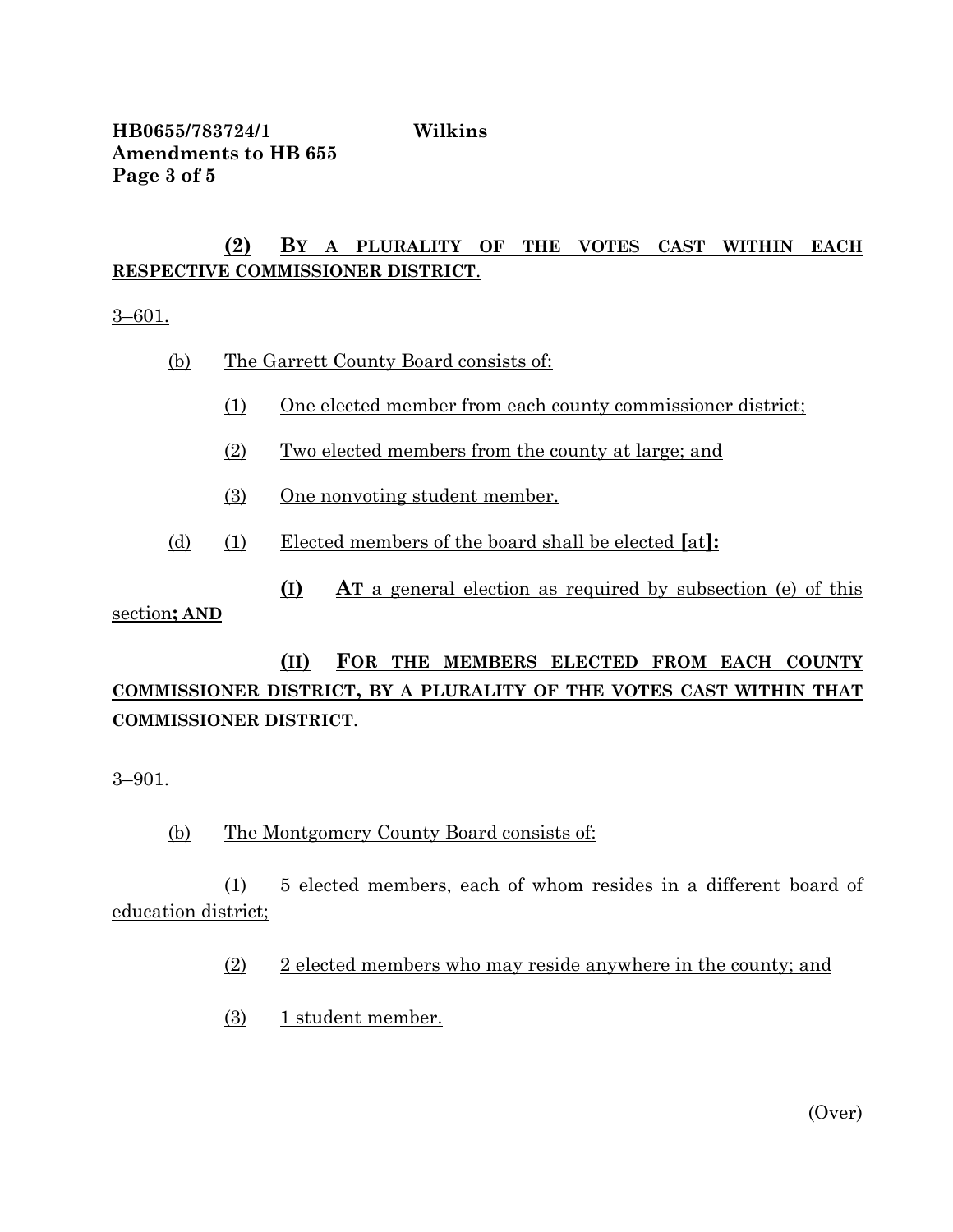**HB0655/783724/1 Wilkins Amendments to HB 655 Page 3 of 5**

## **(2) BY A PLURALITY OF THE VOTES CAST WITHIN EACH RESPECTIVE COMMISSIONER DISTRICT**.

3–601.

- (b) The Garrett County Board consists of:
	- (1) One elected member from each county commissioner district;
	- (2) Two elected members from the county at large; and
	- (3) One nonvoting student member.
- (d) (1) Elected members of the board shall be elected **[**at**]:**

**(I) AT** a general election as required by subsection (e) of this section**; AND**

# **(II) FOR THE MEMBERS ELECTED FROM EACH COUNTY COMMISSIONER DISTRICT, BY A PLURALITY OF THE VOTES CAST WITHIN THAT COMMISSIONER DISTRICT**.

3–901.

(b) The Montgomery County Board consists of:

(1) 5 elected members, each of whom resides in a different board of education district;

- (2) 2 elected members who may reside anywhere in the county; and
- (3) 1 student member.

(Over)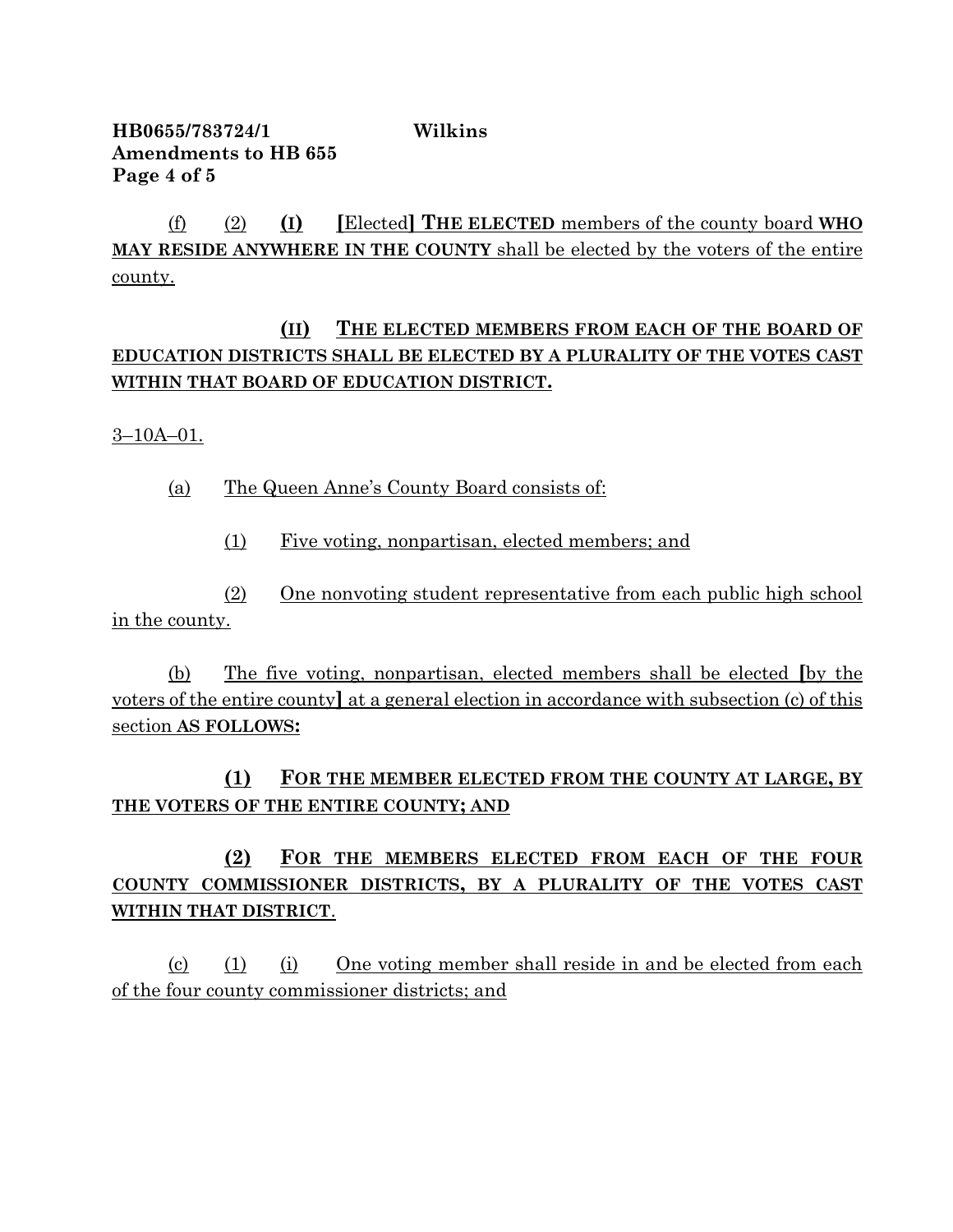**HB0655/783724/1 Wilkins Amendments to HB 655 Page 4 of 5**

(f) (2) **(I) [**Elected**] THE ELECTED** members of the county board **WHO MAY RESIDE ANYWHERE IN THE COUNTY** shall be elected by the voters of the entire county.

# **(II) THE ELECTED MEMBERS FROM EACH OF THE BOARD OF EDUCATION DISTRICTS SHALL BE ELECTED BY A PLURALITY OF THE VOTES CAST WITHIN THAT BOARD OF EDUCATION DISTRICT.**

3–10A–01.

(a) The Queen Anne's County Board consists of:

(1) Five voting, nonpartisan, elected members; and

(2) One nonvoting student representative from each public high school in the county.

(b) The five voting, nonpartisan, elected members shall be elected **[**by the voters of the entire county**]** at a general election in accordance with subsection (c) of this section **AS FOLLOWS:**

**(1) FOR THE MEMBER ELECTED FROM THE COUNTY AT LARGE, BY THE VOTERS OF THE ENTIRE COUNTY; AND**

**(2) FOR THE MEMBERS ELECTED FROM EACH OF THE FOUR COUNTY COMMISSIONER DISTRICTS, BY A PLURALITY OF THE VOTES CAST WITHIN THAT DISTRICT**.

(c) (1) (i) One voting member shall reside in and be elected from each of the four county commissioner districts; and